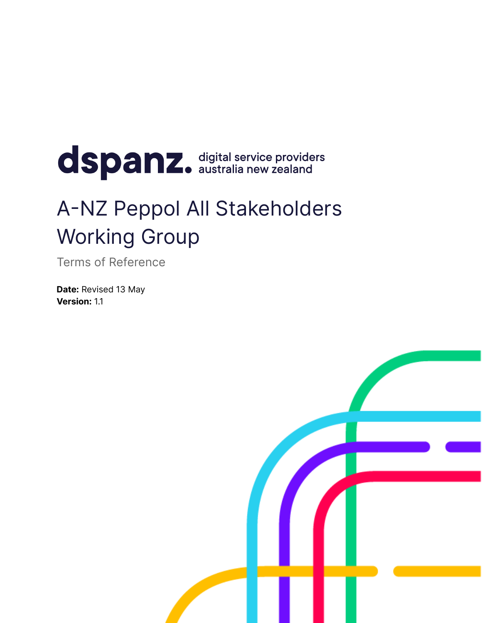# dspanz. digital service providers

## A-NZ Peppol All Stakeholders Working Group

Terms of Reference

**Date:** Revised 13 May **Version:** 1.1

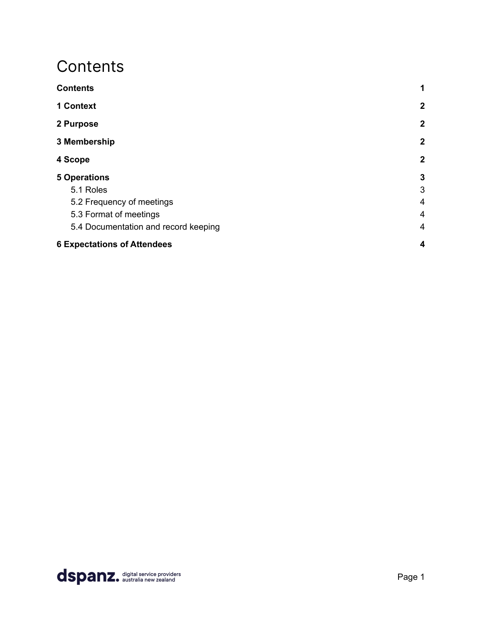### <span id="page-1-0"></span>**Contents**

| <b>Contents</b>                      | 1                |
|--------------------------------------|------------------|
| 1 Context                            | $\mathbf{2}$     |
| 2 Purpose                            | $\boldsymbol{2}$ |
| 3 Membership                         | $\boldsymbol{2}$ |
| 4 Scope                              | $\boldsymbol{2}$ |
| <b>5 Operations</b>                  | $\mathbf{3}$     |
| 5.1 Roles                            | 3                |
| 5.2 Frequency of meetings            | 4                |
| 5.3 Format of meetings               | $\overline{4}$   |
| 5.4 Documentation and record keeping | $\overline{4}$   |
| <b>6 Expectations of Attendees</b>   | $\boldsymbol{4}$ |

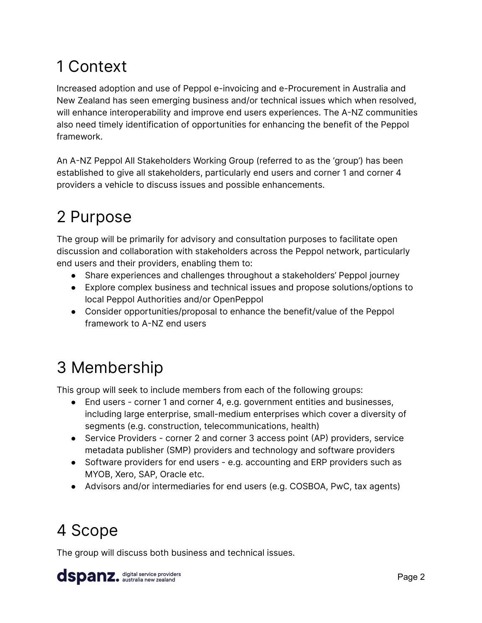## <span id="page-2-0"></span>1 Context

Increased adoption and use of Peppol e-invoicing and e-Procurement in Australia and New Zealand has seen emerging business and/or technical issues which when resolved, will enhance interoperability and improve end users experiences. The A-NZ communities also need timely identification of opportunities for enhancing the benefit of the Peppol framework.

An A-NZ Peppol All Stakeholders Working Group (referred to as the 'group') has been established to give all stakeholders, particularly end users and corner 1 and corner 4 providers a vehicle to discuss issues and possible enhancements.

## <span id="page-2-1"></span>2 Purpose

The group will be primarily for advisory and consultation purposes to facilitate open discussion and collaboration with stakeholders across the Peppol network, particularly end users and their providers, enabling them to:

- Share experiences and challenges throughout a stakeholders' Peppol journey
- Explore complex business and technical issues and propose solutions/options to local Peppol Authorities and/or OpenPeppol
- Consider opportunities/proposal to enhance the benefit/value of the Peppol framework to A-NZ end users

## <span id="page-2-2"></span>3 Membership

This group will seek to include members from each of the following groups:

- End users corner 1 and corner 4, e.g. government entities and businesses, including large enterprise, small-medium enterprises which cover a diversity of segments (e.g. construction, telecommunications, health)
- Service Providers corner 2 and corner 3 access point (AP) providers, service metadata publisher (SMP) providers and technology and software providers
- Software providers for end users e.g. accounting and ERP providers such as MYOB, Xero, SAP, Oracle etc.
- Advisors and/or intermediaries for end users (e.g. COSBOA, PwC, tax agents)

## <span id="page-2-3"></span>4 Scope

The group will discuss both business and technical issues.

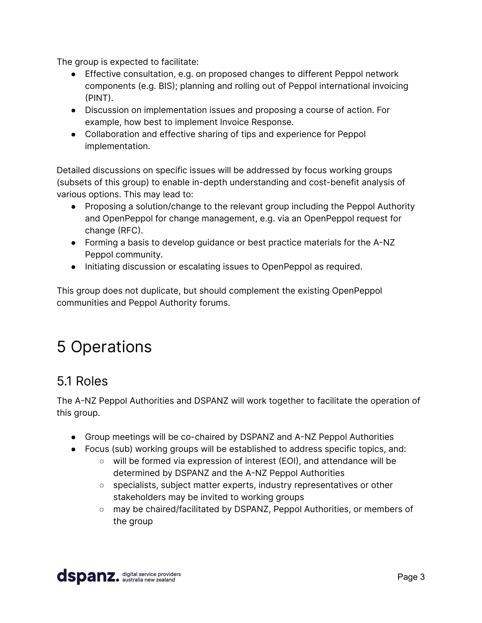The group is expected to facilitate:

- Effective consultation, e.g. on proposed changes to different Peppol network components (e.g. BIS); planning and rolling out of Peppol international invoicing (PINT).
- Discussion on implementation issues and proposing a course of action. For example, how best to implement Invoice Response.
- Collaboration and effective sharing of tips and experience for Peppol implementation.

Detailed discussions on specific issues will be addressed by focus working groups (subsets of this group) to enable in-depth understanding and cost-benefit analysis of various options. This may lead to:

- Proposing a solution/change to the relevant group including the Peppol Authority and OpenPeppol for change management, e.g. via an OpenPeppol request for change (RFC).
- Forming a basis to develop guidance or best practice materials for the A-NZ Peppol community.
- Initiating discussion or escalating issues to OpenPeppol as required.

This group does not duplicate, but should complement the existing OpenPeppol communities and Peppol Authority forums.

## <span id="page-3-0"></span>5 Operations

#### <span id="page-3-1"></span>5.1 Roles

The A-NZ Peppol Authorities and DSPANZ will work together to facilitate the operation of this group.

- Group meetings will be co-chaired by DSPANZ and A-NZ Peppol Authorities
- Focus (sub) working groups will be established to address specific topics, and:
	- will be formed via expression of interest (EOI), and attendance will be determined by DSPANZ and the A-NZ Peppol Authorities
	- specialists, subject matter experts, industry representatives or other stakeholders may be invited to working groups
	- may be chaired/facilitated by DSPANZ, Peppol Authorities, or members of the group

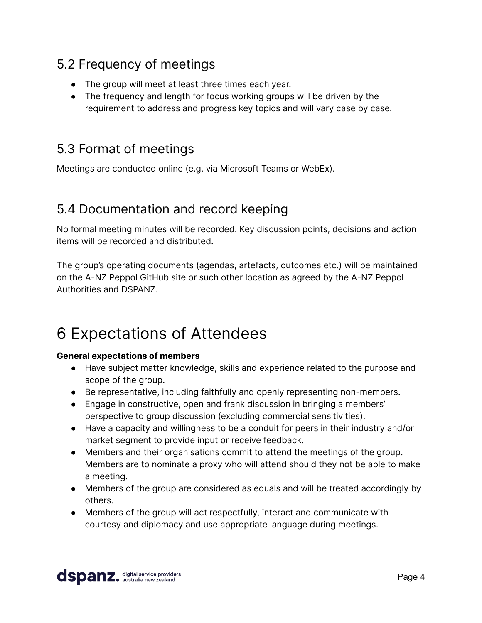#### <span id="page-4-0"></span>5.2 Frequency of meetings

- The group will meet at least three times each year.
- The frequency and length for focus working groups will be driven by the requirement to address and progress key topics and will vary case by case.

#### <span id="page-4-1"></span>5.3 Format of meetings

Meetings are conducted online (e.g. via Microsoft Teams or WebEx).

#### <span id="page-4-2"></span>5.4 Documentation and record keeping

No formal meeting minutes will be recorded. Key discussion points, decisions and action items will be recorded and distributed.

The group's operating documents (agendas, artefacts, outcomes etc.) will be maintained on the A-NZ Peppol GitHub site or such other location as agreed by the A-NZ Peppol Authorities and DSPANZ.

## <span id="page-4-3"></span>6 Expectations of Attendees

#### **General expectations of members**

- Have subject matter knowledge, skills and experience related to the purpose and scope of the group.
- Be representative, including faithfully and openly representing non-members.
- Engage in constructive, open and frank discussion in bringing a members' perspective to group discussion (excluding commercial sensitivities).
- Have a capacity and willingness to be a conduit for peers in their industry and/or market segment to provide input or receive feedback.
- Members and their organisations commit to attend the meetings of the group. Members are to nominate a proxy who will attend should they not be able to make a meeting.
- Members of the group are considered as equals and will be treated accordingly by others.
- Members of the group will act respectfully, interact and communicate with courtesy and diplomacy and use appropriate language during meetings.